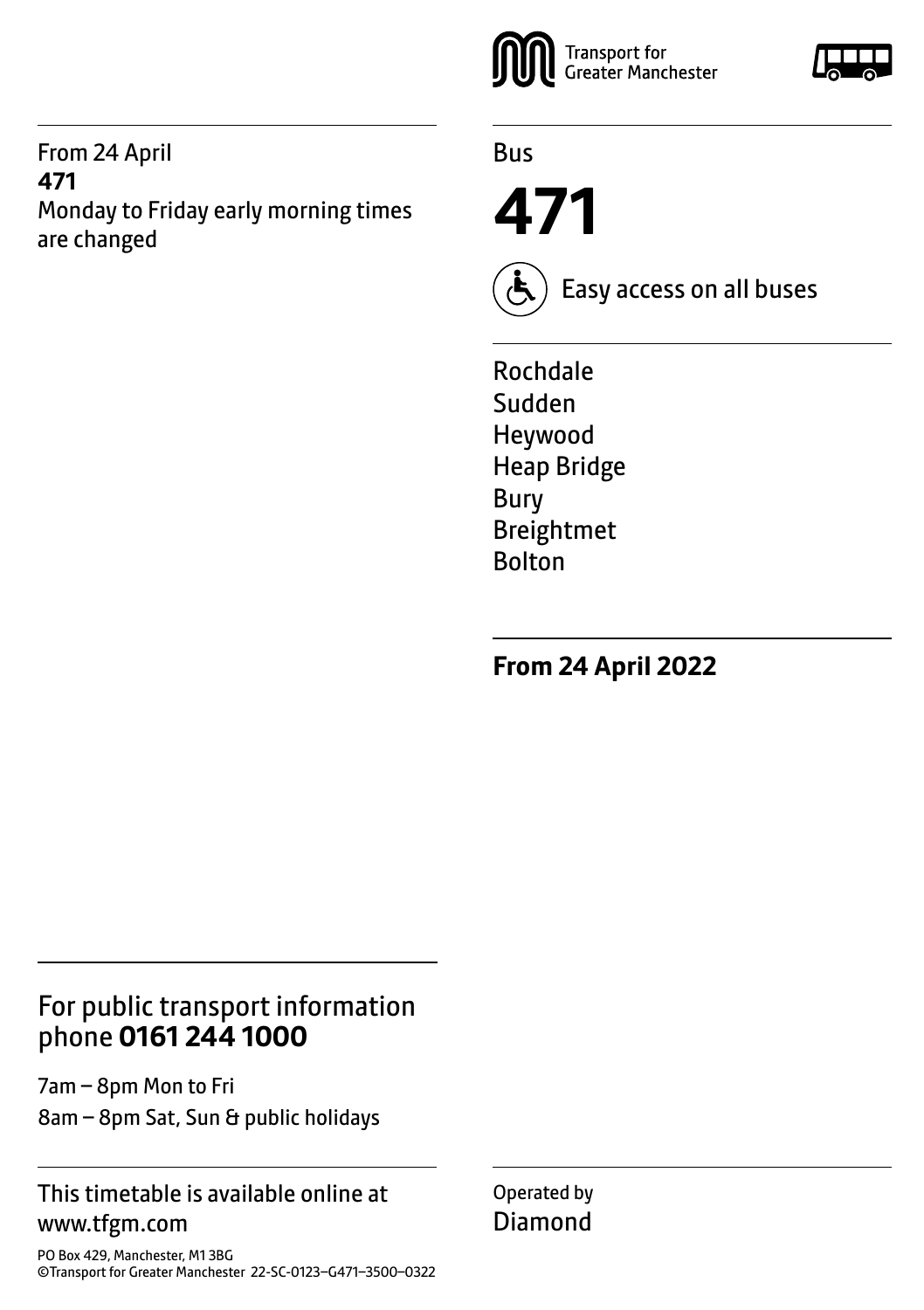#### From 24 April **471** Monday to Friday early morning times are changed



Bus

**471**



Easy access on all buses

Rochdale Sudden Heywood Heap Bridge Bury Breightmet Bolton

**From 24 April 2022**

# For public transport information phone **0161 244 1000**

7am – 8pm Mon to Fri 8am – 8pm Sat, Sun & public holidays

#### This timetable is available online at www.tfgm.com

PO Box 429, Manchester, M1 3BG ©Transport for Greater Manchester 22-SC-0123–G471–3500–0322 Operated by Diamond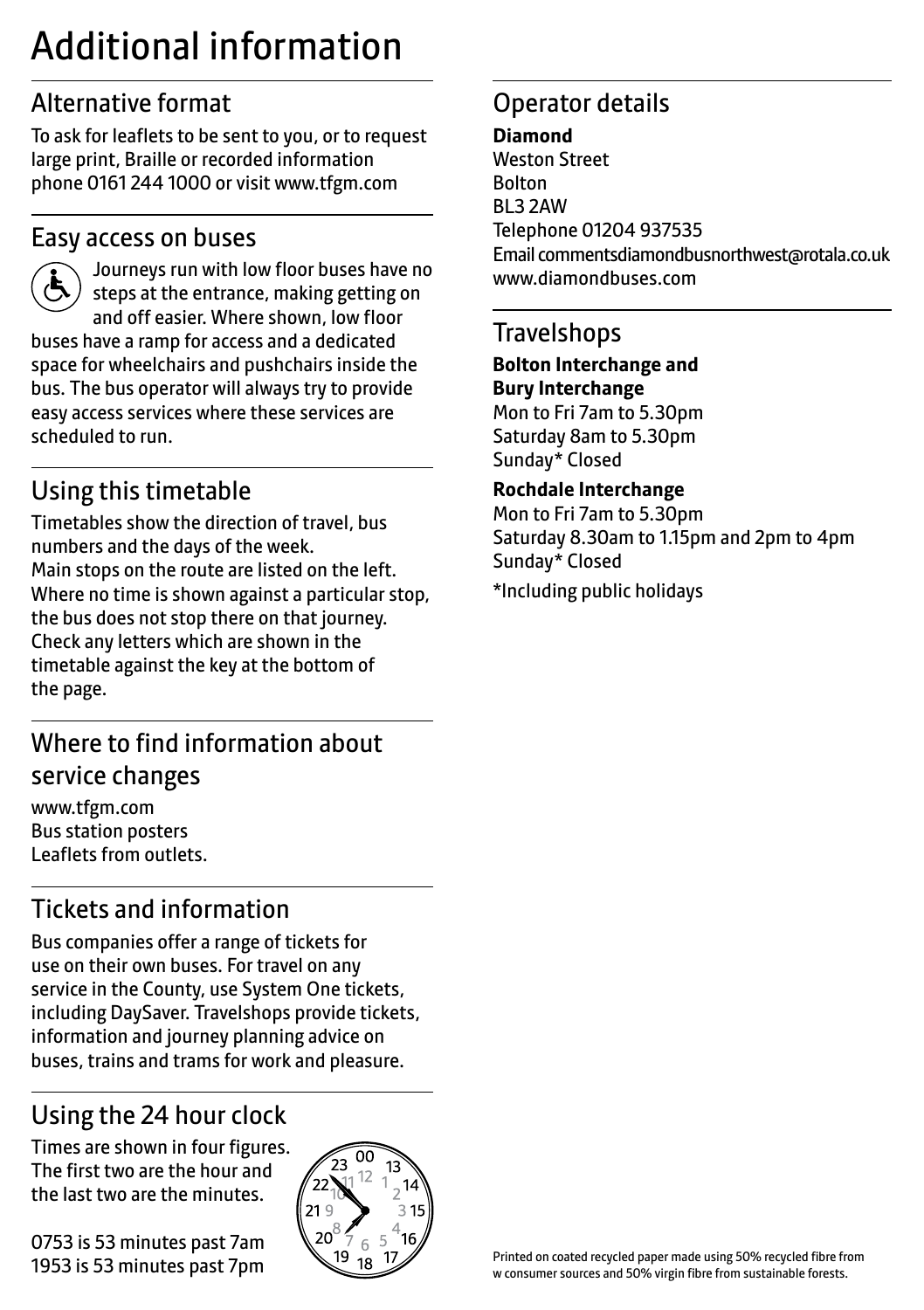# Additional information

# Alternative format

To ask for leaflets to be sent to you, or to request large print, Braille or recorded information phone 0161 244 1000 or visit www.tfgm.com

### Easy access on buses



 Journeys run with low floor buses have no steps at the entrance, making getting on and off easier. Where shown, low floor buses have a ramp for access and a dedicated space for wheelchairs and pushchairs inside the bus. The bus operator will always try to provide easy access services where these services are scheduled to run.

# Using this timetable

Timetables show the direction of travel, bus numbers and the days of the week. Main stops on the route are listed on the left. Where no time is shown against a particular stop, the bus does not stop there on that journey. Check any letters which are shown in the timetable against the key at the bottom of the page.

# Where to find information about service changes

www.tfgm.com Bus station posters Leaflets from outlets.

# Tickets and information

Bus companies offer a range of tickets for use on their own buses. For travel on any service in the County, use System One tickets, including DaySaver. Travelshops provide tickets, information and journey planning advice on buses, trains and trams for work and pleasure.

# Using the 24 hour clock

Times are shown in four figures. The first two are the hour and the last two are the minutes.

0753 is 53 minutes past 7am 1953 is 53 minutes past 7pm



# Operator details

#### **Diamond** Weston Street Bolton BL3 2AW Telephone 01204 937535 Email commentsdiamondbusnorthwest@rotala.co.uk www.diamondbuses.com

#### **Travelshops**

**Bolton Interchange and Bury Interchange** Mon to Fri 7am to 5.30pm Saturday 8am to 5.30pm Sunday\* Closed

**Rochdale Interchange** Mon to Fri 7am to 5.30pm Saturday 8.30am to 1.15pm and 2pm to 4pm Sunday\* Closed

\*Including public holidays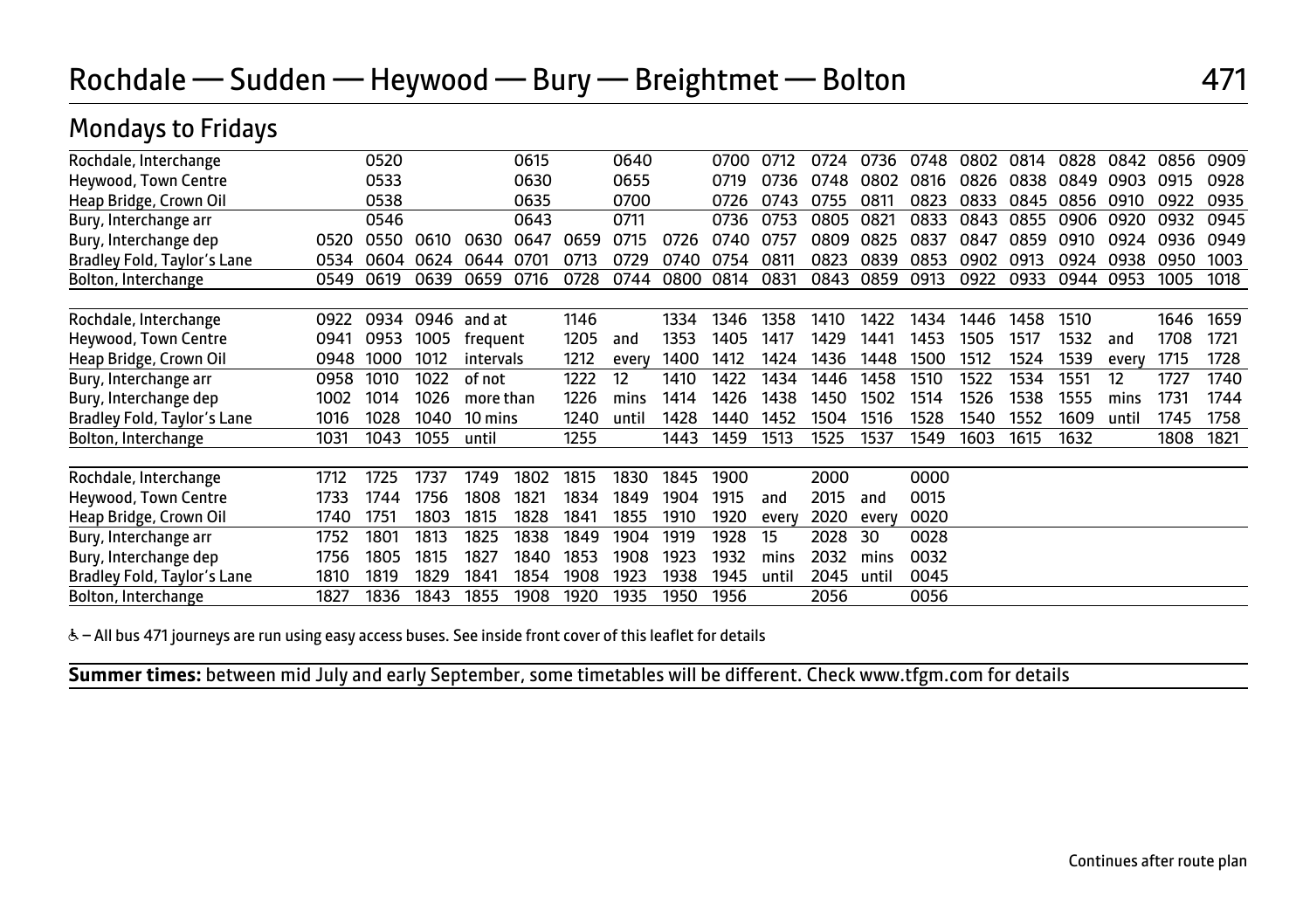# Rochdale — Sudden — Heywood — Bury — Breightmet — Bolton 471

## Mondays to Fridays

| Rochdale, Interchange       |      | 0520 |      |               | 0615 |      | 0640  |      | 0700 | 0712  | 0724 | 0736  | 0748 | 0802 | 0814 | 0828 | 0842  | 0856 | 0909 |
|-----------------------------|------|------|------|---------------|------|------|-------|------|------|-------|------|-------|------|------|------|------|-------|------|------|
| Heywood, Town Centre        |      | 0533 |      |               | 0630 |      | 0655  |      | 0719 | 0736  | 0748 | 0802  | 0816 | 0826 | 0838 | 0849 | 0903  | 0915 | 0928 |
| Heap Bridge, Crown Oil      |      | 0538 |      |               | 0635 |      | 0700  |      | 0726 | 0743  | 0755 | 0811  | 0823 | 0833 | 0845 | 0856 | 0910  | 0922 | 0935 |
| Bury, Interchange arr       |      | 0546 |      |               | 0643 |      | 0711  |      | 0736 | 0753  | 0805 | 0821  | 0833 | 0843 | 0855 | 0906 | 0920  | 0932 | 0945 |
| Bury, Interchange dep       | 0520 | 0550 | 0610 | 0630          | 0647 | 0659 | 0715  | 0726 | 0740 | 0757  | 0809 | 0825  | 0837 | 0847 | 0859 | 0910 | 0924  | 0936 | 0949 |
| Bradley Fold, Taylor's Lane | 0534 | 0604 | 0624 | 0644          | 0701 | 0713 | 0729  | 0740 | 0754 | 0811  | 0823 | 0839  | 0853 | 0902 | 0913 | 0924 | 0938  | 0950 | 1003 |
| Bolton, Interchange         | 0549 | 0619 | 0639 | 0659          | 0716 | 0728 | 0744  | 0800 | 0814 | 0831  | 0843 | 0859  | 0913 | 0922 | 0933 | 0944 | 0953  | 1005 | 1018 |
|                             |      |      |      |               |      |      |       |      |      |       |      |       |      |      |      |      |       |      |      |
| Rochdale, Interchange       | 0922 | 0934 |      | $0946$ and at |      | 1146 |       | 1334 | 1346 | 1358  | 1410 | 1422  | 1434 | 1446 | 1458 | 1510 |       | 1646 | 1659 |
| Heywood, Town Centre        | 0941 | 0953 | 1005 | frequent      |      | 1205 | and   | 1353 | 1405 | 1417  | 1429 | 1441  | 1453 | 1505 | 1517 | 1532 | and   | 1708 | 1721 |
| Heap Bridge, Crown Oil      | 0948 | 1000 | 1012 | intervals     |      | 1212 | every | 1400 | 1412 | 1424  | 1436 | 1448  | 1500 | 1512 | 1524 | 1539 | every | 1715 | 1728 |
| Bury, Interchange arr       | 0958 | 1010 | 1022 | of not        |      | 1222 | 12    | 1410 | 1422 | 1434  | 1446 | 1458  | 1510 | 1522 | 1534 | 1551 | 12    | 1727 | 1740 |
| Bury, Interchange dep       | 1002 | 1014 | 1026 | more than     |      | 1226 | mins  | 1414 | 1426 | 1438  | 1450 | 1502  | 1514 | 1526 | 1538 | 1555 | mins  | 1731 | 1744 |
| Bradley Fold, Taylor's Lane | 1016 | 1028 | 1040 | 10 mins       |      | 1240 | until | 1428 | 1440 | 1452  | 1504 | 1516  | 1528 | 1540 | 1552 | 1609 | until | 1745 | 1758 |
| Bolton, Interchange         | 1031 | 1043 | 1055 | until         |      | 1255 |       | 1443 | 1459 | 1513  | 1525 | 1537  | 1549 | 1603 | 1615 | 1632 |       | 1808 | 1821 |
|                             |      |      |      |               |      |      |       |      |      |       |      |       |      |      |      |      |       |      |      |
| Rochdale, Interchange       | 1712 | 1725 | 1737 | 1749          | 1802 | 1815 | 1830  | 1845 | 1900 |       | 2000 |       | 0000 |      |      |      |       |      |      |
| Heywood, Town Centre        | 1733 | 1744 | 1756 | 1808          | 1821 | 1834 | 1849  | 1904 | 1915 | and   | 2015 | and   | 0015 |      |      |      |       |      |      |
| Heap Bridge, Crown Oil      | 1740 | 1751 | 1803 | 1815          | 1828 | 1841 | 1855  | 1910 | 1920 | every | 2020 | every | 0020 |      |      |      |       |      |      |
| Bury, Interchange arr       | 1752 | 1801 | 1813 | 1825          | 1838 | 1849 | 1904  | 1919 | 1928 | 15    | 2028 | 30    | 0028 |      |      |      |       |      |      |
| Bury, Interchange dep       | 1756 | 1805 | 1815 | 1827          | 1840 | 1853 | 1908  | 1923 | 1932 | mins  | 2032 | mins  | 0032 |      |      |      |       |      |      |
| Bradley Fold, Taylor's Lane | 1810 | 1819 | 1829 | 1841          | 1854 | 1908 | 1923  | 1938 | 1945 | until | 2045 | until | 0045 |      |      |      |       |      |      |
| Bolton, Interchange         | 1827 | 1836 | 1843 | 1855          | 1908 | 1920 | 1935  | 1950 | 1956 |       | 2056 |       | 0056 |      |      |      |       |      |      |
|                             |      |      |      |               |      |      |       |      |      |       |      |       |      |      |      |      |       |      |      |

& - All bus 471 journeys are run using easy access buses. See inside front cover of this leaflet for details

**Summer times:** between mid July and early September, some timetables will be different. Check www.tfgm.com for details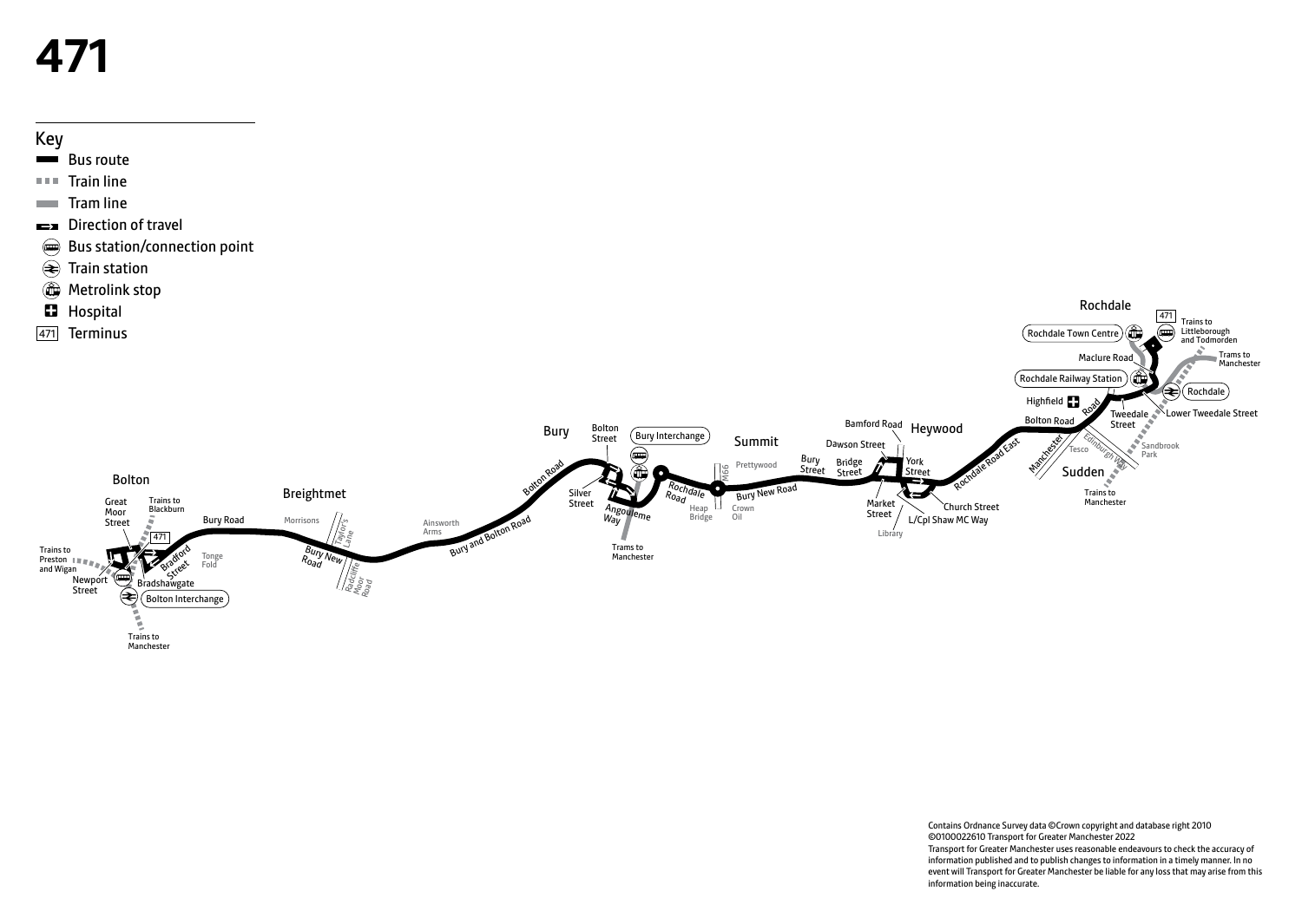# **471**

Key



Contains Ordnance Survey data ©Crown copyright and database right 2010 ©0100022610 Transport for Greater Manchester 2022 Transport for Greater Manchester uses reasonable endeavours to check the accuracy of information published and to publish changes to information in a timely manner. In no event will Transport for Greater Manchester be liable for any loss that may arise from this information being inaccurate.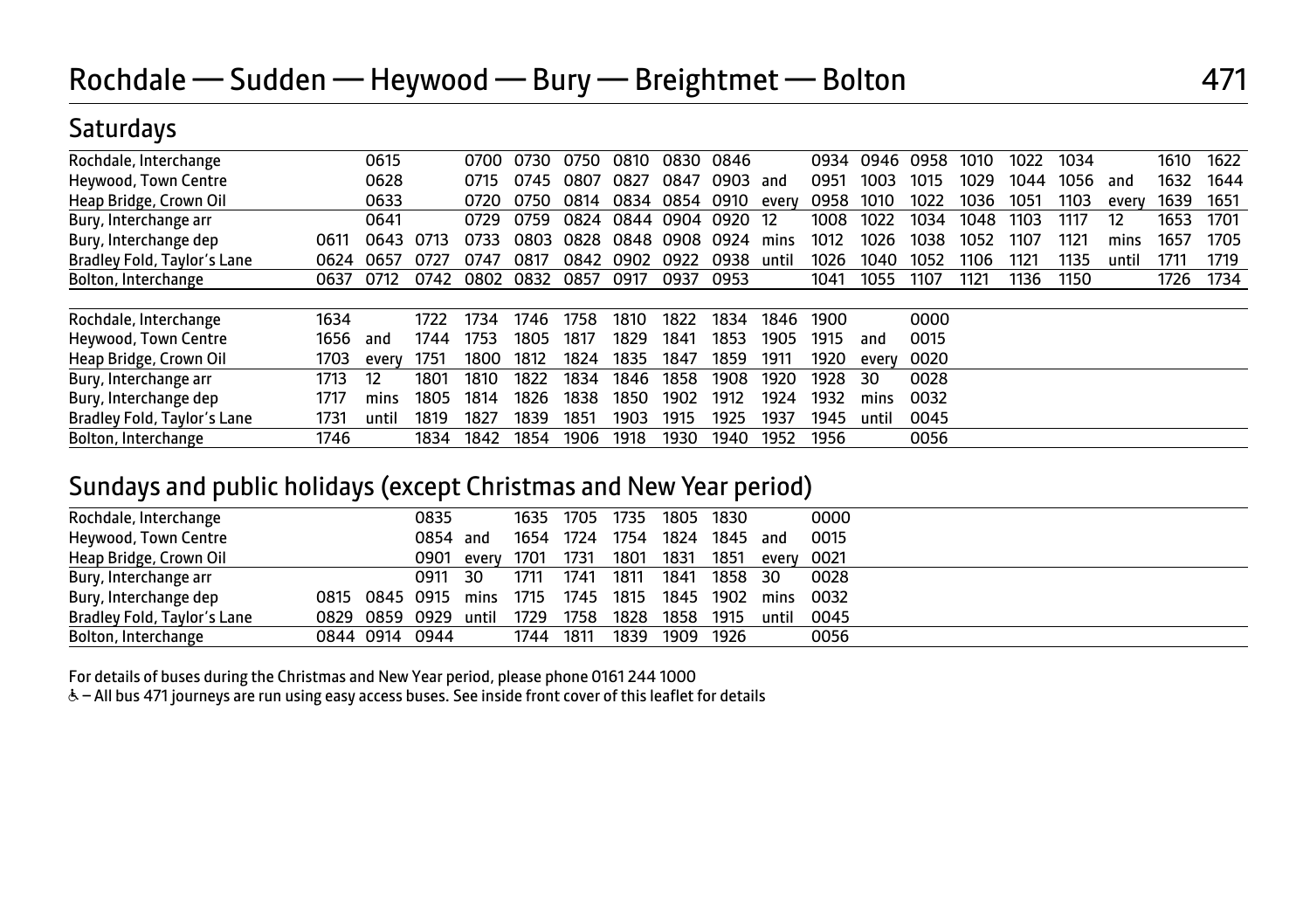### **Saturdays**

| 1622<br>0615<br>0810<br>0830<br>0846<br>0946<br>0958<br>1022<br>1034<br>1610<br>0730<br>0750<br>0934<br>1010<br>0700                          |
|-----------------------------------------------------------------------------------------------------------------------------------------------|
|                                                                                                                                               |
| 0628<br>1632<br>1644<br>0827<br>0847<br>1029<br>1044<br>0807<br>0903<br>0951<br>1003<br>1015<br>1056<br>0715<br>0745<br>and<br>and            |
| 0633<br>1639<br>1651<br>0834<br>0854 0910<br>1022<br>1036<br>1051<br>1103<br>0814<br>1010<br>0750<br>0958<br>0720<br>every<br>every           |
| 1653<br>0844 0904 0920 12<br>0641<br>0824<br>1008<br>1022<br>1034<br>1048<br>0729<br>0759<br>1103<br>1117<br>12<br>1701                       |
| 1121<br>1657<br>0848<br>1012<br>1026<br>1038<br>1705<br>0733<br>0803<br>0828<br>0908<br>0924<br>1052<br>1107<br>0643<br>0713<br>mins<br>mins  |
| 0842<br>0902<br>0922<br>0938<br>1026<br>1135<br>1719<br>0817<br>1052<br>1106<br>1711<br>0657<br>0727<br>0747<br>1040<br>1121<br>unti<br>until |
| 0832<br>1726<br>1734<br>0802<br>0857<br>0917<br>0953<br>1041<br>1121<br>1136<br>1150<br>0712<br>0742<br>0937<br>1055<br>1107                  |
| 1822<br>1834<br>0000<br>1734<br>1810<br>1900<br>1722<br>1758<br>1846<br>1746                                                                  |
| 1853<br>0015<br>1805<br>1817<br>1829<br>1841<br>1753<br>1905<br>1744<br>1915<br>and<br>and                                                    |
| 1800<br>0020<br>1812<br>1824<br>1835<br>1847<br>1859<br>1920<br>1911<br>1751<br>every<br>every                                                |
| 12<br>1834<br>1858<br>1908<br>0028<br>1801<br>1810<br>1822<br>1846<br>1920<br>1928<br>30                                                      |
| 1805<br>1814<br>1838<br>1850<br>1902<br>1932<br>0032<br>1826<br>1912<br>1924<br>mins<br>mins                                                  |
| 1903<br>1915<br>1925<br>0045<br>1827<br>1839<br>1851<br>1945<br>1937<br>1819<br>until<br>until                                                |
| 0056<br>1956<br>1834<br>1842<br>1906<br>1918<br>1930<br>1940<br>1854<br>1952                                                                  |
|                                                                                                                                               |

#### Sundays and public holidays (except Christmas and New Year period)

| Rochdale, Interchange       |  | 0835                 |            |           | 1635 1705 1735 |      | 1805 1830 |          |       | 0000                |
|-----------------------------|--|----------------------|------------|-----------|----------------|------|-----------|----------|-------|---------------------|
| Heywood, Town Centre        |  | 0854 and             |            |           | 1654 1724      | 1754 | 1824      | 1845 and |       | 0015                |
| Heap Bridge, Crown Oil      |  |                      | 0901 every | 1701 1731 |                | 1801 | 1831      | 1851     |       | every 0021          |
| Bury, Interchange arr       |  | 0911 30              |            | 1711      | 1741           | 1811 | 1841      | 1858 30  |       | 0028                |
| Bury, Interchange dep       |  | 0815 0845 0915 mins  |            | 1715 1745 |                | 1815 |           |          |       | 1845 1902 mins 0032 |
| Bradley Fold, Taylor's Lane |  | 0829 0859 0929 until |            | 1729 1758 |                | 1828 | 1858 1915 |          | until | 0045                |
| Bolton, Interchange         |  | 0844 0914 0944       |            | 1744      | 1811           | 1839 | 1909      | 1926     |       | 0056                |

For details of buses during the Christmas and New Year period, please phone 0161 244 1000

W– All bus 471 journeys are run using easy access buses. See inside front cover of this leaflet for details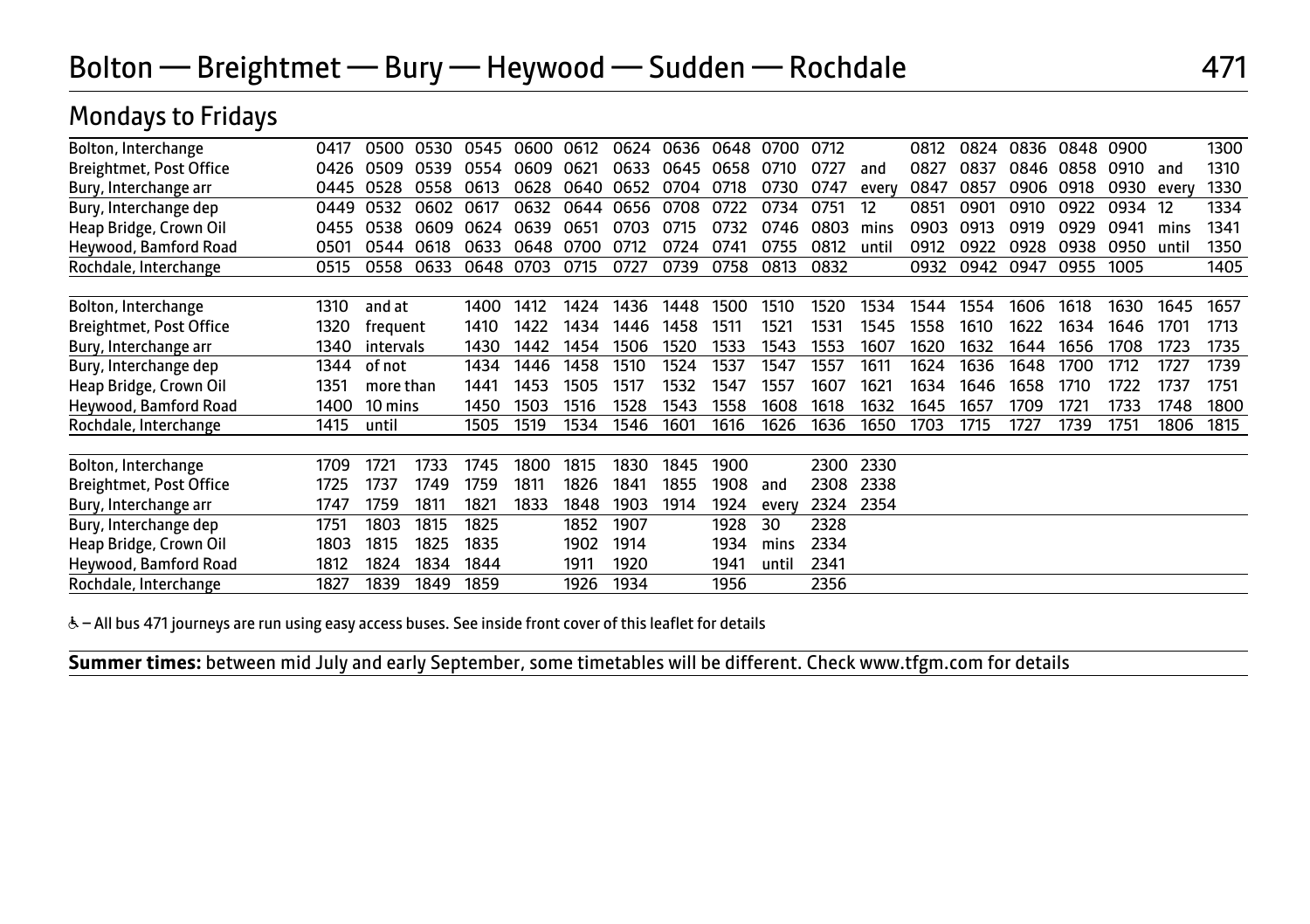Mondays to Fridays

|                         | ◢ |      |           |      |      |      |      |      |      |      |       |      |       |      |      |      |      |      |       |      |
|-------------------------|---|------|-----------|------|------|------|------|------|------|------|-------|------|-------|------|------|------|------|------|-------|------|
| Bolton, Interchange     |   | 0417 | 0500      | 0530 | 0545 | 0600 | 0612 | 0624 | 0636 | 0648 | 0700  | 0712 |       | 0812 | 0824 | 0836 | 0848 | 0900 |       | 1300 |
| Breightmet, Post Office |   | 0426 | 0509      | 0539 | 0554 | 0609 | 0621 | 0633 | 0645 | 0658 | 0710  | 0727 | and   | 0827 | 0837 | 0846 | 0858 | 0910 | and   | 1310 |
| Bury, Interchange arr   |   | 0445 | 0528      | 0558 | 0613 | 0628 | 0640 | 0652 | 0704 | 0718 | 0730  | 0747 | every | 0847 | 0857 | 0906 | 0918 | 0930 | every | 1330 |
| Bury, Interchange dep   |   | 0449 | 0532      | 0602 | 0617 | 0632 | 0644 | 0656 | 0708 | 0722 | 0734  | 0751 | 12    | 0851 | 0901 | 0910 | 0922 | 0934 | -12   | 1334 |
| Heap Bridge, Crown Oil  |   | 0455 | 0538      | 0609 | 0624 | 0639 | 0651 | 0703 | 0715 | 0732 | 0746  | 0803 | mins  | 0903 | 0913 | 0919 | 0929 | 0941 | mins  | 1341 |
| Heywood, Bamford Road   |   | 0501 | 0544      | 0618 | 0633 | 0648 | 0700 | 0712 | 0724 | 0741 | 0755  | 0812 | until | 0912 | 0922 | 0928 | 0938 | 0950 | until | 1350 |
| Rochdale, Interchange   |   | 0515 | 0558      | 0633 | 0648 | 0703 | 0715 | 0727 | 0739 | 0758 | 0813  | 0832 |       | 0932 | 0942 | 0947 | 0955 | 1005 |       | 1405 |
|                         |   |      |           |      |      |      |      |      |      |      |       |      |       |      |      |      |      |      |       |      |
| Bolton, Interchange     |   | 1310 | and at    |      | 1400 | 1412 | 1424 | 1436 | 1448 | 1500 | 1510  | 1520 | 1534  | 1544 | 1554 | 1606 | 1618 | 1630 | 1645  | 1657 |
| Breightmet, Post Office |   | 1320 | frequent  |      | 1410 | 1422 | 1434 | 1446 | 1458 | 1511 | 1521  | 1531 | 1545  | 1558 | 1610 | 1622 | 1634 | 1646 | 1701  | 1713 |
| Bury, Interchange arr   |   | 1340 | intervals |      | 1430 | 1442 | 1454 | 1506 | 1520 | 1533 | 1543  | 1553 | 1607  | 1620 | 1632 | 1644 | 1656 | 1708 | 1723  | 1735 |
| Bury, Interchange dep   |   | 1344 | of not    |      | 1434 | 1446 | 1458 | 1510 | 1524 | 1537 | 1547  | 1557 | 1611  | 1624 | 1636 | 1648 | 1700 | 1712 | 1727  | 1739 |
| Heap Bridge, Crown Oil  |   | 1351 | more than |      | 1441 | 1453 | 1505 | 1517 | 1532 | 1547 | 1557  | 1607 | 1621  | 1634 | 1646 | 1658 | 1710 | 1722 | 1737  | 1751 |
| Heywood, Bamford Road   |   | 1400 | 10 mins   |      | 1450 | 1503 | 1516 | 1528 | 1543 | 1558 | 1608  | 1618 | 1632  | 1645 | 1657 | 1709 | 1721 | 1733 | 1748  | 1800 |
| Rochdale, Interchange   |   | 1415 | until     |      | 1505 | 1519 | 1534 | 1546 | 1601 | 1616 | 1626  | 1636 | 1650  | 1703 | 1715 | 1727 | 1739 | 1751 | 1806  | 1815 |
|                         |   |      |           |      |      |      |      |      |      |      |       |      |       |      |      |      |      |      |       |      |
| Bolton, Interchange     |   | 1709 | 1721      | 1733 | 1745 | 1800 | 1815 | 1830 | 1845 | 1900 |       | 2300 | 2330  |      |      |      |      |      |       |      |
| Breightmet, Post Office |   | 1725 | 1737      | 1749 | 1759 | 1811 | 1826 | 1841 | 1855 | 1908 | and   | 2308 | 2338  |      |      |      |      |      |       |      |
| Bury, Interchange arr   |   | 1747 | 1759      | 1811 | 1821 | 1833 | 1848 | 1903 | 1914 | 1924 | every | 2324 | 2354  |      |      |      |      |      |       |      |
| Bury, Interchange dep   |   | 1751 | 1803      | 1815 | 1825 |      | 1852 | 1907 |      | 1928 | 30    | 2328 |       |      |      |      |      |      |       |      |
| Heap Bridge, Crown Oil  |   | 1803 | 1815      | 1825 | 1835 |      | 1902 | 1914 |      | 1934 | mins  | 2334 |       |      |      |      |      |      |       |      |
| Heywood, Bamford Road   |   | 1812 | 1824      | 1834 | 1844 |      | 1911 | 1920 |      | 1941 | until | 2341 |       |      |      |      |      |      |       |      |
| Rochdale, Interchange   |   | 1827 | 1839      | 1849 | 1859 |      | 1926 | 1934 |      | 1956 |       | 2356 |       |      |      |      |      |      |       |      |

& - All bus 471 journeys are run using easy access buses. See inside front cover of this leaflet for details

 $\overline{a}$ 

I

**Summer times:** between mid July and early September, some timetables will be different. Check www.tfgm.com for details